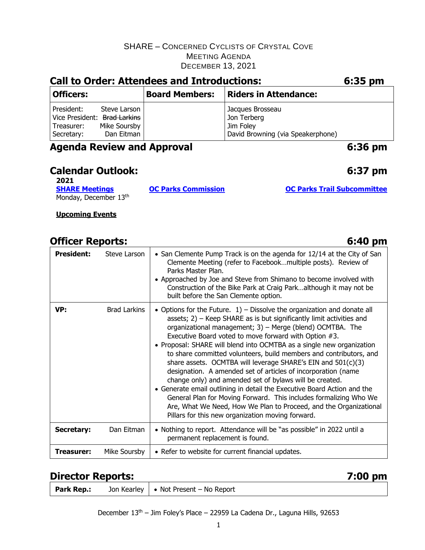| <b>Call to Order: Attendees and Introductions:</b>                                                                   |                            |                                                                                   | 6:35 pm |
|----------------------------------------------------------------------------------------------------------------------|----------------------------|-----------------------------------------------------------------------------------|---------|
| <b>Officers:</b>                                                                                                     | <b>Board Members:</b>      | <b>Riders in Attendance:</b>                                                      |         |
| President:<br>Steve Larson<br>Vice President: Brad Larkins<br>Mike Soursby<br>Treasurer:<br>Dan Eitman<br>Secretary: |                            | Jacques Brosseau<br>Jon Terberg<br>Jim Foley<br>David Browning (via Speakerphone) |         |
| <b>Agenda Review and Approval</b>                                                                                    |                            |                                                                                   | 6:36 pm |
| <b>Calendar Outlook:</b><br>2021                                                                                     |                            |                                                                                   | 6:37 pm |
| <b>SHARE Meetings</b><br>Monday, December 13th                                                                       | <b>OC Parks Commission</b> | <b>OC Parks Trail Subcommittee</b>                                                |         |

**Upcoming Events**

# **Officer Reports: 6:40 pm**

| <b>President:</b> | Steve Larson        | • San Clemente Pump Track is on the agenda for 12/14 at the City of San<br>Clemente Meeting (refer to Facebookmultiple posts). Review of<br>Parks Master Plan.<br>• Approached by Joe and Steve from Shimano to become involved with<br>Construction of the Bike Park at Craig Parkalthough it may not be<br>built before the San Clemente option.                                                                                                                                                                                                                                                                                                                                                                                                                                                                                                                                            |  |
|-------------------|---------------------|-----------------------------------------------------------------------------------------------------------------------------------------------------------------------------------------------------------------------------------------------------------------------------------------------------------------------------------------------------------------------------------------------------------------------------------------------------------------------------------------------------------------------------------------------------------------------------------------------------------------------------------------------------------------------------------------------------------------------------------------------------------------------------------------------------------------------------------------------------------------------------------------------|--|
| VP:               | <b>Brad Larkins</b> | • Options for the Future. $1$ ) – Dissolve the organization and donate all<br>assets; 2) – Keep SHARE as is but significantly limit activities and<br>organizational management; 3) - Merge (blend) OCMTBA. The<br>Executive Board voted to move forward with Option #3.<br>• Proposal: SHARE will blend into OCMTBA as a single new organization<br>to share committed volunteers, build members and contributors, and<br>share assets. OCMTBA will leverage SHARE's EIN and 501(c)(3)<br>designation. A amended set of articles of incorporation (name<br>change only) and amended set of bylaws will be created.<br>• Generate email outlining in detail the Executive Board Action and the<br>General Plan for Moving Forward. This includes formalizing Who We<br>Are, What We Need, How We Plan to Proceed, and the Organizational<br>Pillars for this new organization moving forward. |  |
| <b>Secretary:</b> | Dan Eitman          | • Nothing to report. Attendance will be "as possible" in 2022 until a<br>permanent replacement is found.                                                                                                                                                                                                                                                                                                                                                                                                                                                                                                                                                                                                                                                                                                                                                                                      |  |
| Treasurer:        | Mike Soursby        | • Refer to website for current financial updates.                                                                                                                                                                                                                                                                                                                                                                                                                                                                                                                                                                                                                                                                                                                                                                                                                                             |  |

# **Director Reports:**

| Y<br>Π<br>- 1<br>. . | Ш<br>81<br>Π |
|----------------------|--------------|
|----------------------|--------------|

| Park Rep.: |  | Jon Kearley   • Not Present – No Report |
|------------|--|-----------------------------------------|
|------------|--|-----------------------------------------|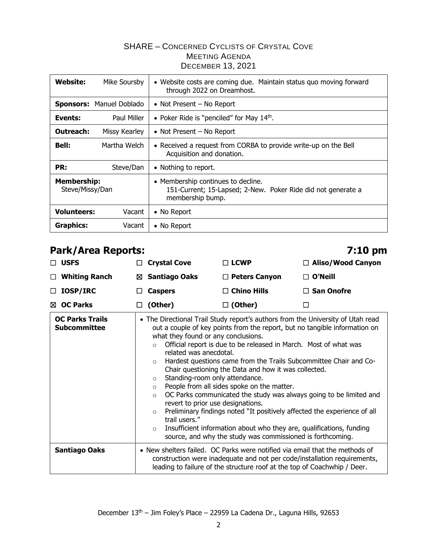| Website:                              | Mike Soursby             | • Website costs are coming due. Maintain status quo moving forward<br>through 2022 on Dreamhost.                       |
|---------------------------------------|--------------------------|------------------------------------------------------------------------------------------------------------------------|
|                                       | Sponsors: Manuel Doblado | • Not Present $-$ No Report                                                                                            |
| Events:                               | Paul Miller              | • Poker Ride is "penciled" for May $14th$ .                                                                            |
| <b>Outreach:</b>                      | Missy Kearley            | • Not Present – No Report                                                                                              |
| <b>Bell:</b>                          | Martha Welch             | • Received a request from CORBA to provide write-up on the Bell<br>Acquisition and donation.                           |
| PR:                                   | Steve/Dan                | • Nothing to report.                                                                                                   |
| <b>Membership:</b><br>Steve/Missy/Dan |                          | • Membership continues to decline.<br>151-Current; 15-Lapsed; 2-New. Poker Ride did not generate a<br>membership bump. |
| <b>Volunteers:</b>                    | Vacant                   | • No Report                                                                                                            |
| <b>Graphics:</b>                      | Vacant                   | • No Report                                                                                                            |

# **Park/Area Reports: 7:10 pm**

| $\Box$ USFS          |        | $\Box$ Crystal Cove | $\Box$ LCWP          | $\Box$ Aliso/Wood Canyon |
|----------------------|--------|---------------------|----------------------|--------------------------|
| $\Box$ Whiting Ranch |        | ⊠ Santiago Oaks     | $\Box$ Peters Canyon | $\Box$ O'Neill           |
| $\Box$ IOSP/IRC      |        | $\Box$ Caspers      | $\Box$ Chino Hills   | $\Box$ San Onofre        |
| ⊠ OC Parks           | $\Box$ | (Other)             | $\Box$ (Other)       |                          |
|                      |        |                     |                      |                          |

| <b>OC Parks Trails</b><br><b>Subcommittee</b> | • The Directional Trail Study report's authors from the University of Utah read<br>out a couple of key points from the report, but no tangible information on<br>what they found or any conclusions.<br>Official report is due to be released in March. Most of what was<br>$\circ$<br>related was anecdotal.<br>Hardest questions came from the Trails Subcommittee Chair and Co-<br>$\circ$<br>Chair questioning the Data and how it was collected.<br>Standing-room only attendance.<br>$\circ$<br>People from all sides spoke on the matter.<br>$\circ$<br>OC Parks communicated the study was always going to be limited and<br>$\circ$<br>revert to prior use designations.<br>Preliminary findings noted "It positively affected the experience of all<br>$\circ$<br>trail users."<br>Insufficient information about who they are, qualifications, funding<br>$\circ$<br>source, and why the study was commissioned is forthcoming. |  |
|-----------------------------------------------|--------------------------------------------------------------------------------------------------------------------------------------------------------------------------------------------------------------------------------------------------------------------------------------------------------------------------------------------------------------------------------------------------------------------------------------------------------------------------------------------------------------------------------------------------------------------------------------------------------------------------------------------------------------------------------------------------------------------------------------------------------------------------------------------------------------------------------------------------------------------------------------------------------------------------------------------|--|
| <b>Santiago Oaks</b>                          | • New shelters failed. OC Parks were notified via email that the methods of<br>construction were inadequate and not per code/installation requirements,<br>leading to failure of the structure roof at the top of Coachwhip / Deer.                                                                                                                                                                                                                                                                                                                                                                                                                                                                                                                                                                                                                                                                                                        |  |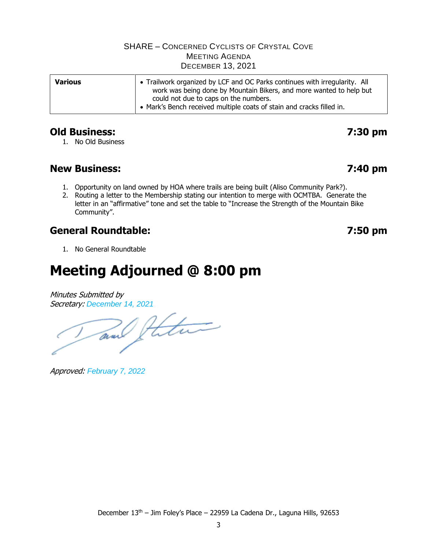| <b>Various</b> | • Trailwork organized by LCF and OC Parks continues with irregularity. All<br>work was being done by Mountain Bikers, and more wanted to help but |  |  |
|----------------|---------------------------------------------------------------------------------------------------------------------------------------------------|--|--|
|                | could not due to caps on the numbers.<br>• Mark's Bench received multiple coats of stain and cracks filled in.                                    |  |  |

## **Old Business: 7:30 pm**

#### 1. No Old Business

# **New Business: 7:40 pm**

- 1. Opportunity on land owned by HOA where trails are being built (Aliso Community Park?).
- 2. Routing a letter to the Membership stating our intention to merge with OCMTBA. Generate the letter in an "affirmative" tone and set the table to "Increase the Strength of the Mountain Bike Community".

# **General Roundtable: 7:50 pm**

1. No General Roundtable

# **Meeting Adjourned @ 8:00 pm**

Minutes Submitted by Secretary: *December 14, 2021*

and theter

Approved: *February 7, 2022*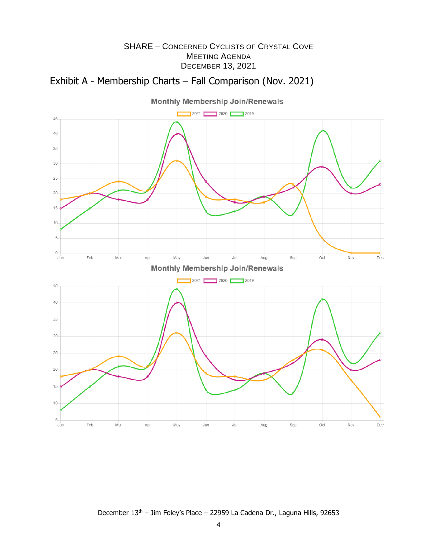



December 13th – Jim Foley's Place – 22959 La Cadena Dr., Laguna Hills, 92653